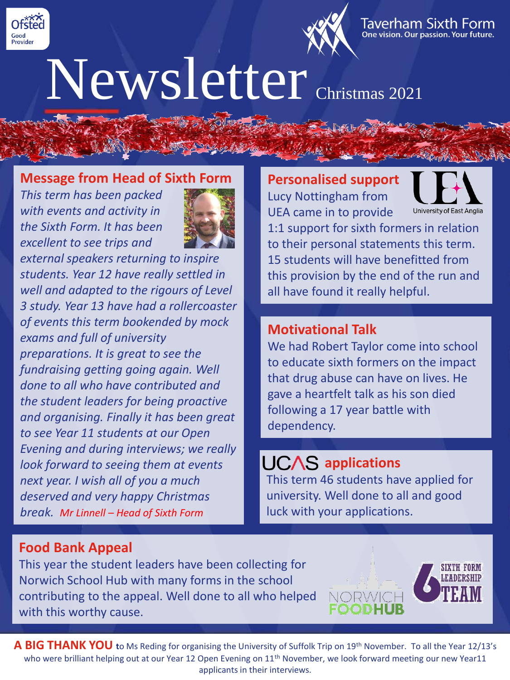



## Newsletter Christmas 2021

#### **Message from Head of Sixth Form**

*This term has been packed with events and activity in the Sixth Form. It has been excellent to see trips and* 



*external speakers returning to inspire students. Year 12 have really settled in well and adapted to the rigours of Level 3 study. Year 13 have had a rollercoaster of events this term bookended by mock exams and full of university preparations. It is great to see the fundraising getting going again. Well done to all who have contributed and the student leaders for being proactive and organising. Finally it has been great to see Year 11 students at our Open Evening and during interviews; we really look forward to seeing them at events next year. I wish all of you a much deserved and very happy Christmas break. Mr Linnell – Head of Sixth Form*

**Personalised support** Lucy Nottingham from UEA came in to provide



1:1 support for sixth formers in relation to their personal statements this term. 15 students will have benefitted from this provision by the end of the run and all have found it really helpful.

#### **Motivational Talk**

We had Robert Taylor come into school to educate sixth formers on the impact that drug abuse can have on lives. He gave a heartfelt talk as his son died following a 17 year battle with dependency.

### UCAS applications

This term 46 students have applied for university. Well done to all and good luck with your applications.

#### **Food Bank Appeal**

This year the student leaders have been collecting for Norwich School Hub with many forms in the school contributing to the appeal. Well done to all who helped with this worthy cause.



**A BIG THANK YOU t**o Ms Reding for organising the University of Suffolk Trip on 19th November. To all the Year 12/13's who were brilliant helping out at our Year 12 Open Evening on 11<sup>th</sup> November, we look forward meeting our new Year11 applicants in their interviews.